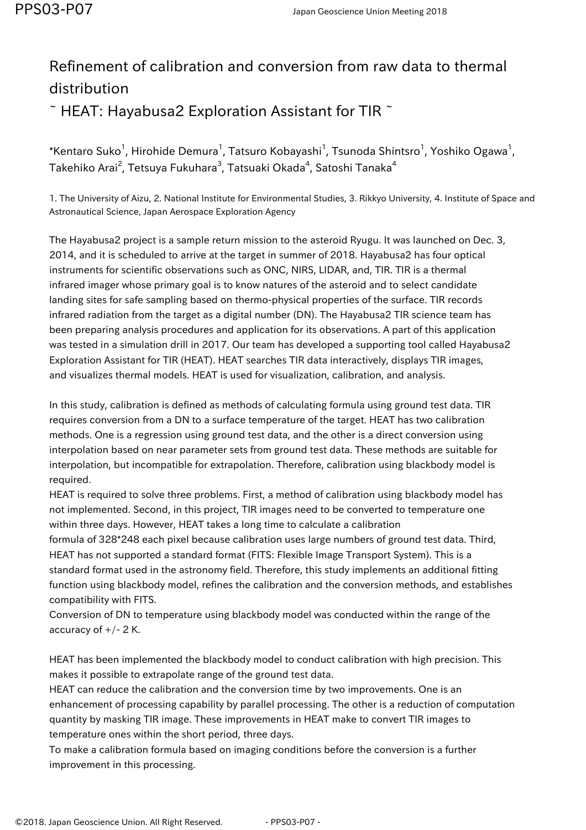## Refinement of calibration and conversion from raw data to thermal distribution  $\tilde{\phantom{a}}$  HEAT: Hayabusa2 Exploration Assistant for TIR  $\tilde{\phantom{a}}$

 $\,$ \*Kentaro Suko $^1$ , Hirohide Demura $^1$ , Tatsuro Kobayashi $^1$ , Tsunoda Shintsro $^1$ , Yoshiko Ogawa $^1$ , Takehiko Arai $^2$ , Tetsuya Fukuhara $^3$ , Tatsuaki Okada $^4$ , Satoshi Tanaka $^4$ 

1. The University of Aizu, 2. National Institute for Environmental Studies, 3. Rikkyo University, 4. Institute of Space and Astronautical Science, Japan Aerospace Exploration Agency

The Hayabusa2 project is a sample return mission to the asteroid Ryugu. It was launched on Dec. 3, 2014, and it is scheduled to arrive at the target in summer of 2018. Hayabusa2 has four optical instruments for scientific observations such as ONC, NIRS, LIDAR, and, TIR. TIR is a thermal infrared imager whose primary goal is to know natures of the asteroid and to select candidate landing sites for safe sampling based on thermo-physical properties of the surface. TIR records infrared radiation from the target as a digital number (DN). The Hayabusa2 TIR science team has been preparing analysis procedures and application for its observations. A part of this application was tested in a simulation drill in 2017. Our team has developed a supporting tool called Hayabusa2 Exploration Assistant for TIR (HEAT). HEAT searches TIR data interactively, displays TIR images, and visualizes thermal models. HEAT is used for visualization, calibration, and analysis.

In this study, calibration is defined as methods of calculating formula using ground test data. TIR requires conversion from a DN to a surface temperature of the target. HEAT has two calibration methods. One is a regression using ground test data, and the other is a direct conversion using interpolation based on near parameter sets from ground test data. These methods are suitable for interpolation, but incompatible for extrapolation. Therefore, calibration using blackbody model is required.

HEAT is required to solve three problems. First, a method of calibration using blackbody model has not implemented. Second, in this project, TIR images need to be converted to temperature one within three days. However, HEAT takes a long time to calculate a calibration

formula of 328\*248 each pixel because calibration uses large numbers of ground test data. Third, HEAT has not supported a standard format (FITS: Flexible Image Transport System). This is a standard format used in the astronomy field. Therefore, this study implements an additional fitting function using blackbody model, refines the calibration and the conversion methods, and establishes compatibility with FITS.

Conversion of DN to temperature using blackbody model was conducted within the range of the accuracy of  $+/- 2$  K.

HEAT has been implemented the blackbody model to conduct calibration with high precision. This makes it possible to extrapolate range of the ground test data.

HEAT can reduce the calibration and the conversion time by two improvements. One is an enhancement of processing capability by parallel processing. The other is a reduction of computation quantity by masking TIR image. These improvements in HEAT make to convert TIR images to temperature ones within the short period, three days.

To make a calibration formula based on imaging conditions before the conversion is a further improvement in this processing.